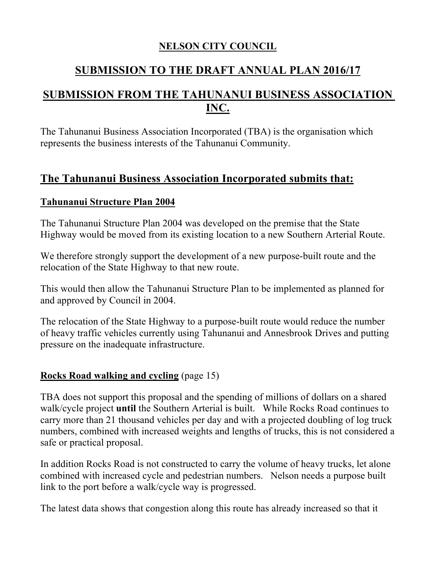### **NELSON CITY COUNCIL**

# **SUBMISSION TO THE DRAFT ANNUAL PLAN 2016/17**

# **SUBMISSION FROM THE TAHUNANUI BUSINESS ASSOCIATION INC.**

The Tahunanui Business Association Incorporated (TBA) is the organisation which represents the business interests of the Tahunanui Community.

## **The Tahunanui Business Association Incorporated submits that:**

#### **Tahunanui Structure Plan 2004**

The Tahunanui Structure Plan 2004 was developed on the premise that the State Highway would be moved from its existing location to a new Southern Arterial Route.

We therefore strongly support the development of a new purpose-built route and the relocation of the State Highway to that new route.

This would then allow the Tahunanui Structure Plan to be implemented as planned for and approved by Council in 2004.

The relocation of the State Highway to a purpose-built route would reduce the number of heavy traffic vehicles currently using Tahunanui and Annesbrook Drives and putting pressure on the inadequate infrastructure.

### **Rocks Road walking and cycling** (page 15)

TBA does not support this proposal and the spending of millions of dollars on a shared walk/cycle project **until** the Southern Arterial is built. While Rocks Road continues to carry more than 21 thousand vehicles per day and with a projected doubling of log truck numbers, combined with increased weights and lengths of trucks, this is not considered a safe or practical proposal.

In addition Rocks Road is not constructed to carry the volume of heavy trucks, let alone combined with increased cycle and pedestrian numbers. Nelson needs a purpose built link to the port before a walk/cycle way is progressed.

The latest data shows that congestion along this route has already increased so that it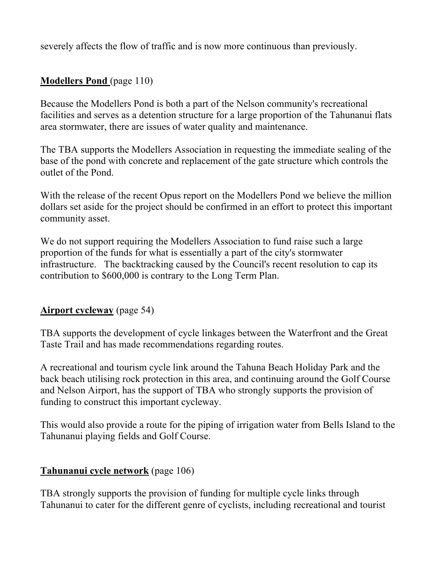severely affects the flow of traffic and is now more continuous than previously.

### **Modellers Pond** (page 110)

Because the Modellers Pond is both a part of the Nelson community's recreational facilities and serves as a detention structure for a large proportion of the Tahunanui flats area stormwater, there are issues of water quality and maintenance.

The TBA supports the Modellers Association in requesting the immediate sealing of the base of the pond with concrete and replacement of the gate structure which controls the outlet of the Pond.

With the release of the recent Opus report on the Modellers Pond we believe the million dollars set aside for the project should be confirmed in an effort to protect this important community asset.

We do not support requiring the Modellers Association to fund raise such a large proportion of the funds for what is essentially a part of the city's stormwater infrastructure. The backtracking caused by the Council's recent resolution to cap its contribution to \$600,000 is contrary to the Long Term Plan.

#### **Airport cycleway** (page 54)

TBA supports the development of cycle linkages between the Waterfront and the Great Taste Trail and has made recommendations regarding routes.

A recreational and tourism cycle link around the Tahuna Beach Holiday Park and the back beach utilising rock protection in this area, and continuing around the Golf Course and Nelson Airport, has the support of TBA who strongly supports the provision of funding to construct this important cycleway.

This would also provide a route for the piping of irrigation water from Bells Island to the Tahunanui playing fields and Golf Course.

#### **Tahunanui cycle network** (page 106)

TBA strongly supports the provision of funding for multiple cycle links through Tahunanui to cater for the different genre of cyclists, including recreational and tourist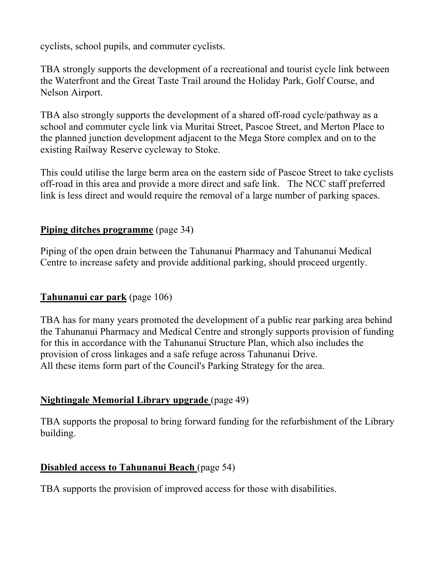cyclists, school pupils, and commuter cyclists.

TBA strongly supports the development of a recreational and tourist cycle link between the Waterfront and the Great Taste Trail around the Holiday Park, Golf Course, and Nelson Airport.

TBA also strongly supports the development of a shared off-road cycle/pathway as a school and commuter cycle link via Muritai Street, Pascoe Street, and Merton Place to the planned junction development adjacent to the Mega Store complex and on to the existing Railway Reserve cycleway to Stoke.

This could utilise the large berm area on the eastern side of Pascoe Street to take cyclists off-road in this area and provide a more direct and safe link. The NCC staff preferred link is less direct and would require the removal of a large number of parking spaces.

### **Piping ditches programme** (page 34)

Piping of the open drain between the Tahunanui Pharmacy and Tahunanui Medical Centre to increase safety and provide additional parking, should proceed urgently.

## **Tahunanui car park** (page 106)

TBA has for many years promoted the development of a public rear parking area behind the Tahunanui Pharmacy and Medical Centre and strongly supports provision of funding for this in accordance with the Tahunanui Structure Plan, which also includes the provision of cross linkages and a safe refuge across Tahunanui Drive. All these items form part of the Council's Parking Strategy for the area.

### **Nightingale Memorial Library upgrade** (page 49)

TBA supports the proposal to bring forward funding for the refurbishment of the Library building.

### **Disabled access to Tahunanui Beach** (page 54)

TBA supports the provision of improved access for those with disabilities.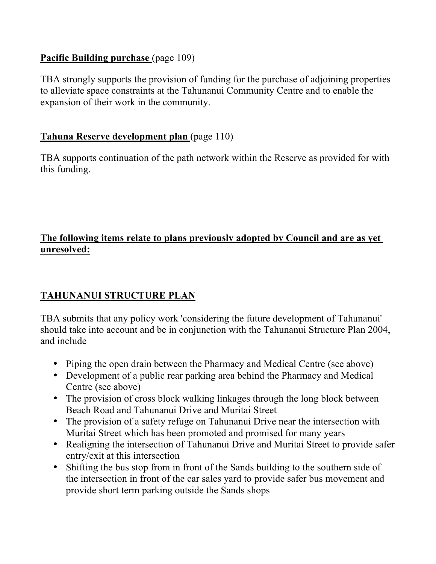### Pacific Building purchase (page 109)

TBA strongly supports the provision of funding for the purchase of adjoining properties to alleviate space constraints at the Tahunanui Community Centre and to enable the expansion of their work in the community.

### **Tahuna Reserve development plan** (page 110)

TBA supports continuation of the path network within the Reserve as provided for with this funding.

### **The following items relate to plans previously adopted by Council and are as yet unresolved:**

## **TAHUNANUI STRUCTURE PLAN**

TBA submits that any policy work 'considering the future development of Tahunanui' should take into account and be in conjunction with the Tahunanui Structure Plan 2004, and include

- Piping the open drain between the Pharmacy and Medical Centre (see above)
- Development of a public rear parking area behind the Pharmacy and Medical Centre (see above)
- The provision of cross block walking linkages through the long block between Beach Road and Tahunanui Drive and Muritai Street
- The provision of a safety refuge on Tahunanui Drive near the intersection with Muritai Street which has been promoted and promised for many years
- Realigning the intersection of Tahunanui Drive and Muritai Street to provide safer entry/exit at this intersection
- Shifting the bus stop from in front of the Sands building to the southern side of the intersection in front of the car sales yard to provide safer bus movement and provide short term parking outside the Sands shops